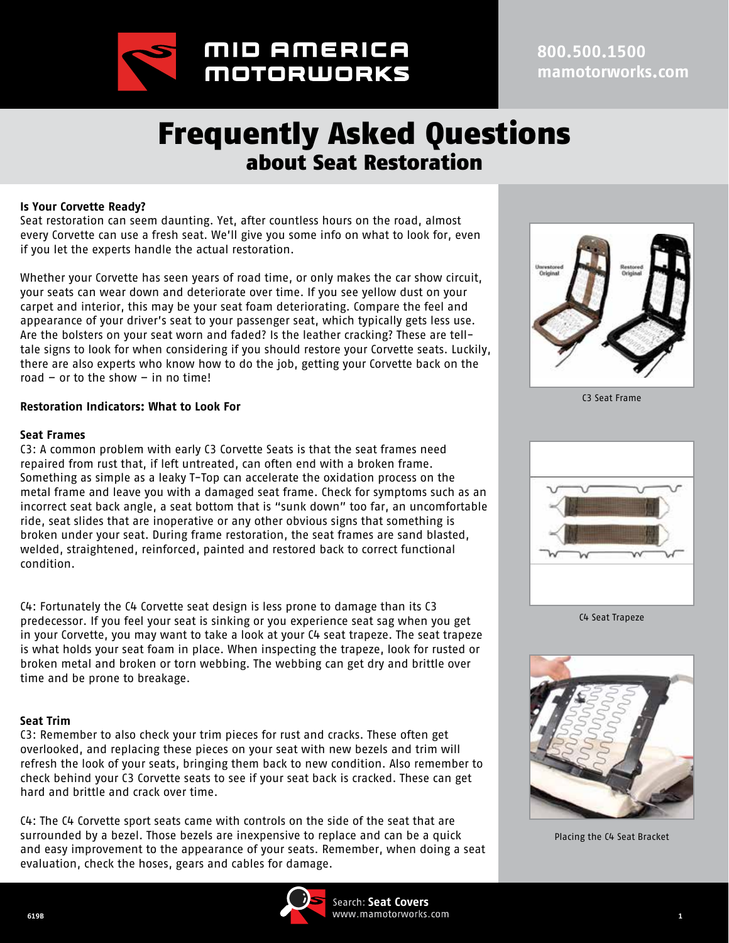

**800.500.1500 mamotorworks.com**

# Frequently Asked Questions about Seat Restoration

#### **Is Your Corvette Ready?**

Seat restoration can seem daunting. Yet, after countless hours on the road, almost every Corvette can use a fresh seat. We'll give you some info on what to look for, even if you let the experts handle the actual restoration.

Whether your Corvette has seen years of road time, or only makes the car show circuit, your seats can wear down and deteriorate over time. If you see yellow dust on your carpet and interior, this may be your seat foam deteriorating. Compare the feel and appearance of your driver's seat to your passenger seat, which typically gets less use. Are the bolsters on your seat worn and faded? Is the leather cracking? These are telltale signs to look for when considering if you should restore your Corvette seats. Luckily, there are also experts who know how to do the job, getting your Corvette back on the road – or to the show – in no time!

#### **Restoration Indicators: What to Look For**

#### **Seat Frames**

C3: A common problem with early C3 Corvette Seats is that the seat frames need repaired from rust that, if left untreated, can often end with a broken frame. Something as simple as a leaky T-Top can accelerate the oxidation process on the metal frame and leave you with a damaged seat frame. Check for symptoms such as an incorrect seat back angle, a seat bottom that is "sunk down" too far, an uncomfortable ride, seat slides that are inoperative or any other obvious signs that something is broken under your seat. During frame restoration, the seat frames are sand blasted, welded, straightened, reinforced, painted and restored back to correct functional condition.

C4: Fortunately the C4 Corvette seat design is less prone to damage than its C3 predecessor. If you feel your seat is sinking or you experience seat sag when you get in your Corvette, you may want to take a look at your C4 seat trapeze. The seat trapeze is what holds your seat foam in place. When inspecting the trapeze, look for rusted or broken metal and broken or torn webbing. The webbing can get dry and brittle over time and be prone to breakage.

#### **Seat Trim**

C3: Remember to also check your trim pieces for rust and cracks. These often get overlooked, and replacing these pieces on your seat with new bezels and trim will refresh the look of your seats, bringing them back to new condition. Also remember to check behind your C3 Corvette seats to see if your seat back is cracked. These can get hard and brittle and crack over time.

C4: The C4 Corvette sport seats came with controls on the side of the seat that are surrounded by a bezel. Those bezels are inexpensive to replace and can be a quick and easy improvement to the appearance of your seats. Remember, when doing a seat evaluation, check the hoses, gears and cables for damage.









C3 Seat Frame



C4 Seat Trapeze



Placing the C4 Seat Bracket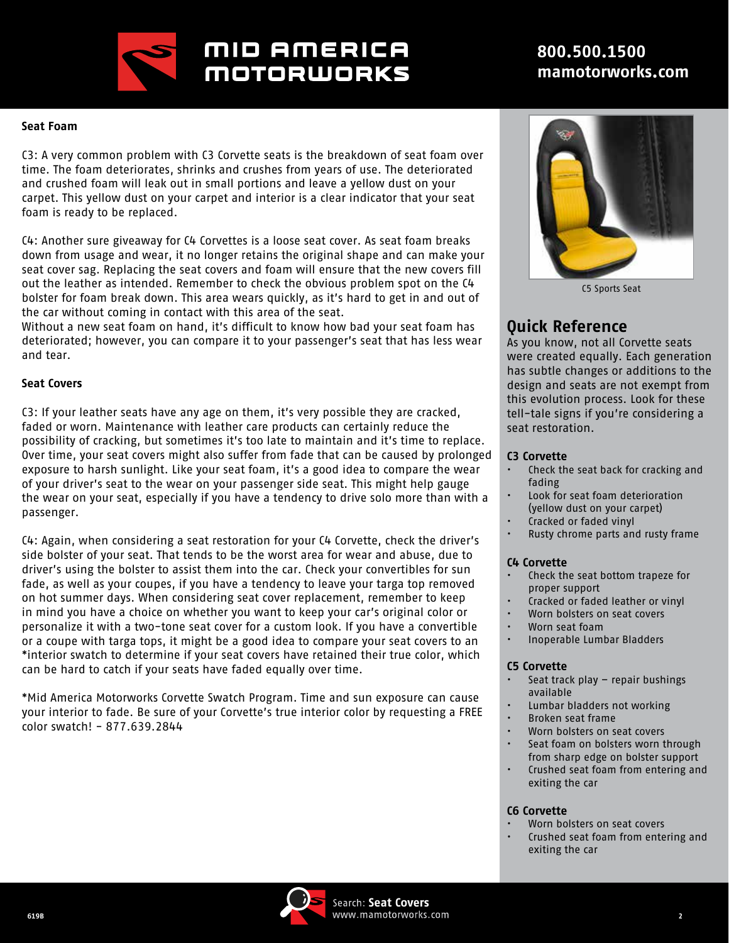

## MID AMERICA **MOTORWORKS**

## **800.500.1500 mamotorworks.com**

#### **Seat Foam**

C3: A very common problem with C3 Corvette seats is the breakdown of seat foam over time. The foam deteriorates, shrinks and crushes from years of use. The deteriorated and crushed foam will leak out in small portions and leave a yellow dust on your carpet. This yellow dust on your carpet and interior is a clear indicator that your seat foam is ready to be replaced.

C4: Another sure giveaway for C4 Corvettes is a loose seat cover. As seat foam breaks down from usage and wear, it no longer retains the original shape and can make your seat cover sag. Replacing the seat covers and foam will ensure that the new covers fill out the leather as intended. Remember to check the obvious problem spot on the C4 bolster for foam break down. This area wears quickly, as it's hard to get in and out of the car without coming in contact with this area of the seat.

Without a new seat foam on hand, it's difficult to know how bad your seat foam has deteriorated; however, you can compare it to your passenger's seat that has less wear and tear.

#### **Seat Covers**

C3: If your leather seats have any age on them, it's very possible they are cracked, faded or worn. Maintenance with leather care products can certainly reduce the possibility of cracking, but sometimes it's too late to maintain and it's time to replace. Over time, your seat covers might also suffer from fade that can be caused by prolonged exposure to harsh sunlight. Like your seat foam, it's a good idea to compare the wear of your driver's seat to the wear on your passenger side seat. This might help gauge the wear on your seat, especially if you have a tendency to drive solo more than with a passenger.

C4: Again, when considering a seat restoration for your C4 Corvette, check the driver's side bolster of your seat. That tends to be the worst area for wear and abuse, due to driver's using the bolster to assist them into the car. Check your convertibles for sun fade, as well as your coupes, if you have a tendency to leave your targa top removed on hot summer days. When considering seat cover replacement, remember to keep in mind you have a choice on whether you want to keep your car's original color or personalize it with a two-tone seat cover for a custom look. If you have a convertible or a coupe with targa tops, it might be a good idea to compare your seat covers to an \*interior swatch to determine if your seat covers have retained their true color, which can be hard to catch if your seats have faded equally over time.

\*Mid America Motorworks Corvette Swatch Program. Time and sun exposure can cause your interior to fade. Be sure of your Corvette's true interior color by requesting a FREE color swatch! - 877.639.2844



C5 Sports Seat

### **Quick Reference**

As you know, not all Corvette seats were created equally. Each generation has subtle changes or additions to the design and seats are not exempt from this evolution process. Look for these tell-tale signs if you're considering a seat restoration.

#### **C3 Corvette**

- Check the seat back for cracking and fading
- Look for seat foam deterioration (yellow dust on your carpet)
- Cracked or faded vinyl
- Rusty chrome parts and rusty frame

#### **C4 Corvette**

- Check the seat bottom trapeze for proper support
- Cracked or faded leather or vinyl
- Worn bolsters on seat covers
- Worn seat foam
- Inoperable Lumbar Bladders

#### **C5 Corvette**

- Seat track play repair bushings available
- Lumbar bladders not working
- Broken seat frame
- Worn bolsters on seat covers
- Seat foam on bolsters worn through from sharp edge on bolster support
- Crushed seat foam from entering and exiting the car

#### **C6 Corvette**

- Worn bolsters on seat covers
- Crushed seat foam from entering and exiting the car

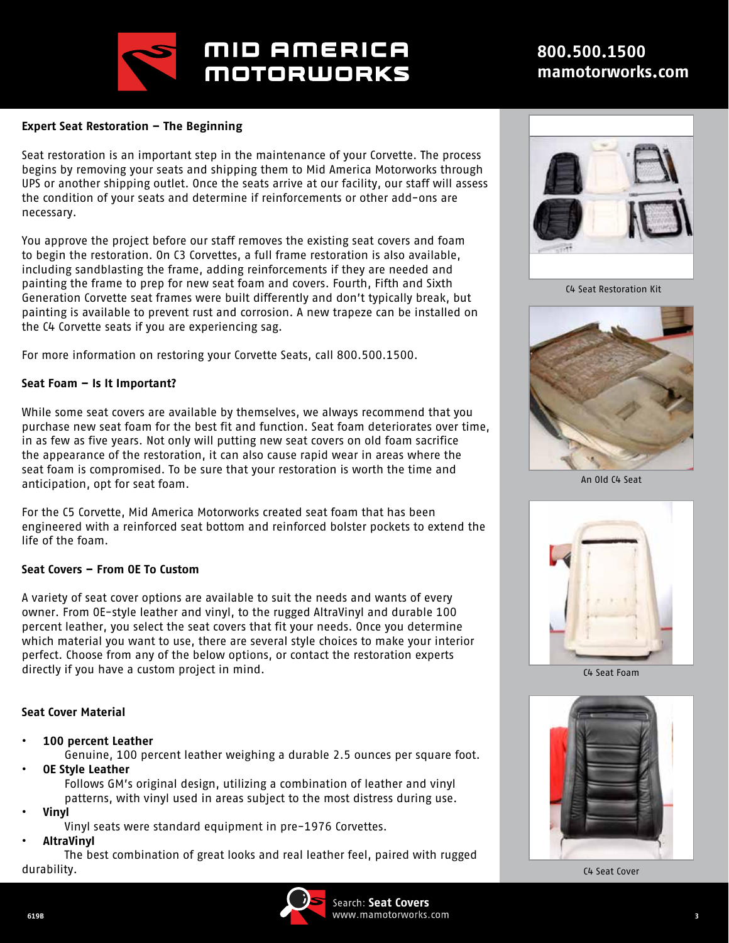

## MID AMERICA **MOTORWORKS**

### **800.500.1500 mamotorworks.com**

#### **Expert Seat Restoration – The Beginning**

Seat restoration is an important step in the maintenance of your Corvette. The process begins by removing your seats and shipping them to Mid America Motorworks through UPS or another shipping outlet. Once the seats arrive at our facility, our staff will assess the condition of your seats and determine if reinforcements or other add-ons are necessary.

You approve the project before our staff removes the existing seat covers and foam to begin the restoration. On C3 Corvettes, a full frame restoration is also available, including sandblasting the frame, adding reinforcements if they are needed and painting the frame to prep for new seat foam and covers. Fourth, Fifth and Sixth Generation Corvette seat frames were built differently and don't typically break, but painting is available to prevent rust and corrosion. A new trapeze can be installed on the C4 Corvette seats if you are experiencing sag.

For more information on restoring your Corvette Seats, call 800.500.1500.

#### **Seat Foam – Is It Important?**

While some seat covers are available by themselves, we always recommend that you purchase new seat foam for the best fit and function. Seat foam deteriorates over time, in as few as five years. Not only will putting new seat covers on old foam sacrifice the appearance of the restoration, it can also cause rapid wear in areas where the seat foam is compromised. To be sure that your restoration is worth the time and anticipation, opt for seat foam.

For the C5 Corvette, Mid America Motorworks created seat foam that has been engineered with a reinforced seat bottom and reinforced bolster pockets to extend the life of the foam.

#### **Seat Covers – From OE To Custom**

A variety of seat cover options are available to suit the needs and wants of every owner. From OE-style leather and vinyl, to the rugged AltraVinyl and durable 100 percent leather, you select the seat covers that fit your needs. Once you determine which material you want to use, there are several style choices to make your interior perfect. Choose from any of the below options, or contact the restoration experts directly if you have a custom project in mind.

#### **Seat Cover Material**

**• 100 percent Leather**

Genuine, 100 percent leather weighing a durable 2.5 ounces per square foot.

**• OE Style Leather**

Follows GM's original design, utilizing a combination of leather and vinyl patterns, with vinyl used in areas subject to the most distress during use.

- **• Vinyl**
	- Vinyl seats were standard equipment in pre-1976 Corvettes.
- **• AltraVinyl**

The best combination of great looks and real leather feel, paired with rugged durability.





C4 Seat Restoration Kit



An Old C4 Seat



C4 Seat Foam



C4 Seat Cover